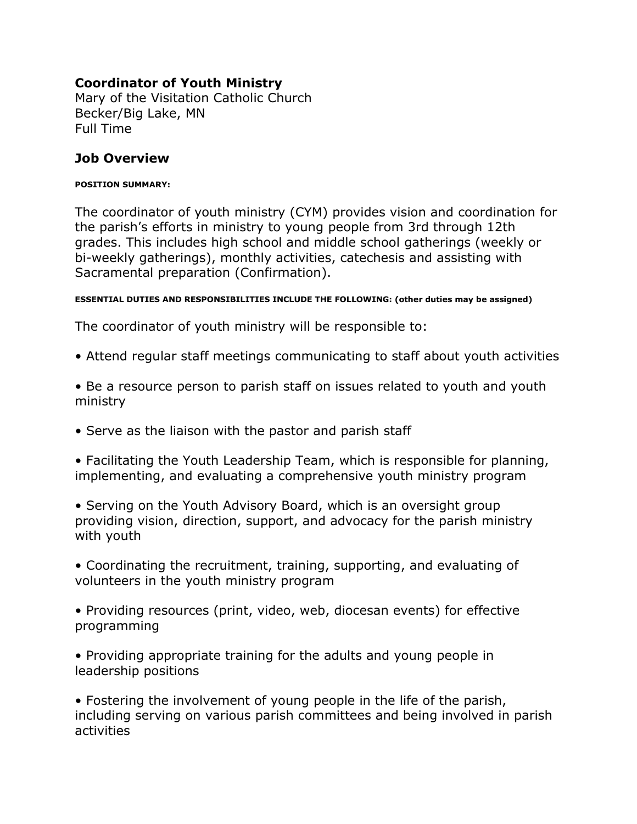## **Coordinator of Youth Ministry**

Mary of the Visitation Catholic Church Becker/Big Lake, MN Full Time

### **Job Overview**

#### **POSITION SUMMARY:**

The coordinator of youth ministry (CYM) provides vision and coordination for the parish's efforts in ministry to young people from 3rd through 12th grades. This includes high school and middle school gatherings (weekly or bi-weekly gatherings), monthly activities, catechesis and assisting with Sacramental preparation (Confirmation).

#### **ESSENTIAL DUTIES AND RESPONSIBILITIES INCLUDE THE FOLLOWING: (other duties may be assigned)**

The coordinator of youth ministry will be responsible to:

- Attend regular staff meetings communicating to staff about youth activities
- Be a resource person to parish staff on issues related to youth and youth ministry
- Serve as the liaison with the pastor and parish staff

• Facilitating the Youth Leadership Team, which is responsible for planning, implementing, and evaluating a comprehensive youth ministry program

• Serving on the Youth Advisory Board, which is an oversight group providing vision, direction, support, and advocacy for the parish ministry with youth

- Coordinating the recruitment, training, supporting, and evaluating of volunteers in the youth ministry program
- Providing resources (print, video, web, diocesan events) for effective programming
- Providing appropriate training for the adults and young people in leadership positions

• Fostering the involvement of young people in the life of the parish, including serving on various parish committees and being involved in parish activities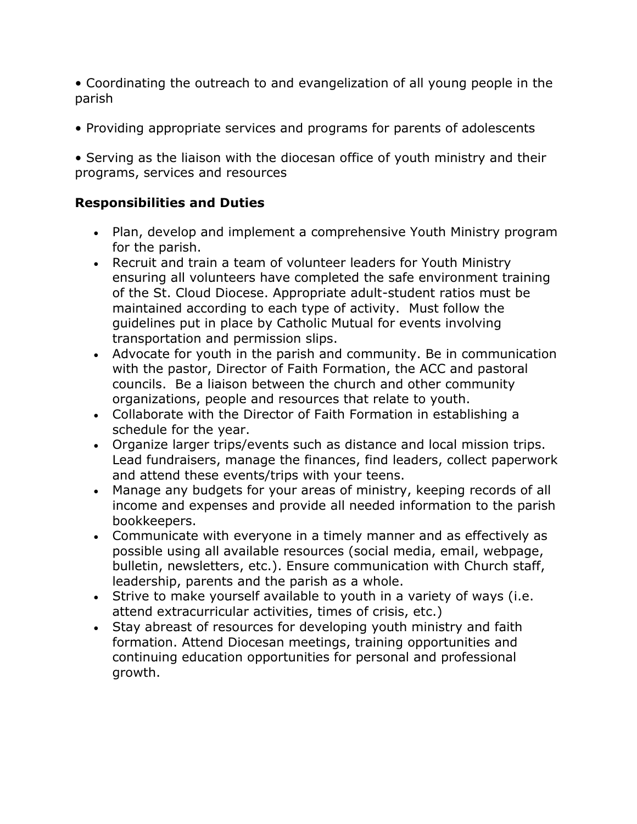• Coordinating the outreach to and evangelization of all young people in the parish

• Providing appropriate services and programs for parents of adolescents

• Serving as the liaison with the diocesan office of youth ministry and their programs, services and resources

### **Responsibilities and Duties**

- Plan, develop and implement a comprehensive Youth Ministry program for the parish.
- Recruit and train a team of volunteer leaders for Youth Ministry ensuring all volunteers have completed the safe environment training of the St. Cloud Diocese. Appropriate adult-student ratios must be maintained according to each type of activity. Must follow the guidelines put in place by Catholic Mutual for events involving transportation and permission slips.
- Advocate for youth in the parish and community. Be in communication with the pastor, Director of Faith Formation, the ACC and pastoral councils. Be a liaison between the church and other community organizations, people and resources that relate to youth.
- Collaborate with the Director of Faith Formation in establishing a schedule for the year.
- Organize larger trips/events such as distance and local mission trips. Lead fundraisers, manage the finances, find leaders, collect paperwork and attend these events/trips with your teens.
- Manage any budgets for your areas of ministry, keeping records of all income and expenses and provide all needed information to the parish bookkeepers.
- Communicate with everyone in a timely manner and as effectively as possible using all available resources (social media, email, webpage, bulletin, newsletters, etc.). Ensure communication with Church staff, leadership, parents and the parish as a whole.
- Strive to make yourself available to youth in a variety of ways (i.e. attend extracurricular activities, times of crisis, etc.)
- Stay abreast of resources for developing youth ministry and faith formation. Attend Diocesan meetings, training opportunities and continuing education opportunities for personal and professional growth.